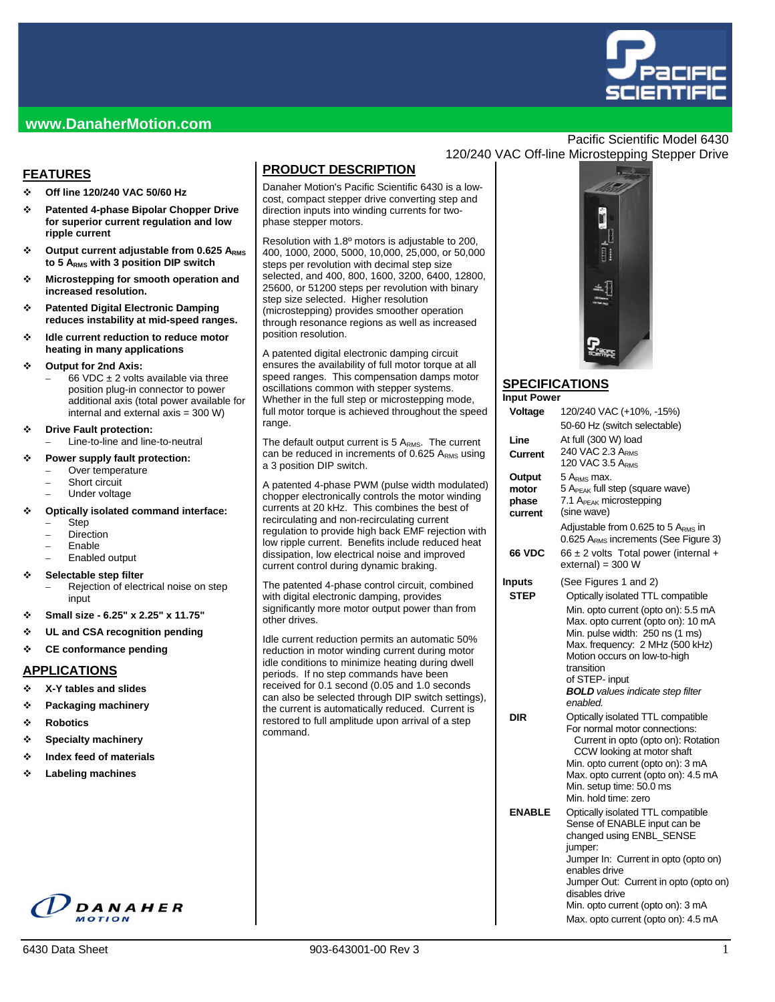

## **www.DanaherMotion.com**

## **FEATURES**

- **Off line 120/240 VAC 50/60 Hz**
- **Patented 4-phase Bipolar Chopper Drive for superior current regulation and low ripple current**
- **Output current adjustable from 0.625 ARMS to 5 ARMS with 3 position DIP switch**
- **Microstepping for smooth operation and increased resolution.**
- **Patented Digital Electronic Damping reduces instability at mid-speed ranges.**
- **Idle current reduction to reduce motor heating in many applications**

#### **Output for 2nd Axis:**

- 66 VDC  $\pm$  2 volts available via three position plug-in connector to power additional axis (total power available for internal and external axis = 300 W)
- **Drive Fault protection:** 
	- Line-to-line and line-to-neutral

#### **Power supply fault protection:**

- Over temperature
- Short circuit
- Under voltage

#### **Optically isolated command interface:**

- Step
- **Direction**
- Enable
- Enabled output

#### **Selectable step filter**

- Rejection of electrical noise on step input
- **Small size 6.25" x 2.25" x 11.75"**
- **UL and CSA recognition pending**
- **CE conformance pending**

#### **APPLICATIONS**

- **X-Y tables and slides**
- **Packaging machinery**
- **Robotics**
- **Specialty machinery**
- **Index feed of materials**
- **Labeling machines**

# DANAHER

# **PRODUCT DESCRIPTION**

Danaher Motion's Pacific Scientific 6430 is a lowcost, compact stepper drive converting step and direction inputs into winding currents for twophase stepper motors.

Resolution with 1.8º motors is adjustable to 200, 400, 1000, 2000, 5000, 10,000, 25,000, or 50,000 steps per revolution with decimal step size selected, and 400, 800, 1600, 3200, 6400, 12800, 25600, or 51200 steps per revolution with binary step size selected. Higher resolution (microstepping) provides smoother operation through resonance regions as well as increased position resolution.

A patented digital electronic damping circuit ensures the availability of full motor torque at all speed ranges. This compensation damps motor oscillations common with stepper systems. Whether in the full step or microstepping mode, full motor torque is achieved throughout the speed range.

The default output current is  $5 A<sub>RMS</sub>$ . The current can be reduced in increments of  $0.625$  A<sub>RMS</sub> using a 3 position DIP switch.

A patented 4-phase PWM (pulse width modulated) chopper electronically controls the motor winding currents at 20 kHz. This combines the best of recirculating and non-recirculating current regulation to provide high back EMF rejection with low ripple current. Benefits include reduced heat dissipation, low electrical noise and improved current control during dynamic braking.

The patented 4-phase control circuit, combined with digital electronic damping, provides significantly more motor output power than from other drives.

Idle current reduction permits an automatic 50% reduction in motor winding current during motor idle conditions to minimize heating during dwell periods. If no step commands have been received for 0.1 second (0.05 and 1.0 seconds can also be selected through DIP switch settings), the current is automatically reduced. Current is restored to full amplitude upon arrival of a step command.

## Pacific Scientific Model 6430 120/240 VAC Off-line Microstepping Stepper Drive



#### **SPECIFICATIONS In**

| Input Power   |                                                                          |
|---------------|--------------------------------------------------------------------------|
| Voltage       | 120/240 VAC (+10%, -15%)                                                 |
|               | 50-60 Hz (switch selectable)                                             |
| Line          | At full (300 W) load                                                     |
| Current       | 240 VAC 2.3 ARMS                                                         |
|               | 120 VAC 3.5 ARMS                                                         |
| Output        | 5 A <sub>rms</sub> max.                                                  |
| motor         | 5 A <sub>PEAK</sub> full step (square wave)                              |
| phase         | 7.1 A <sub>PEAK</sub> microstepping                                      |
| current       | (sine wave)                                                              |
|               | Adjustable from 0.625 to 5 ARMS in                                       |
|               | 0.625 A <sub>RMS</sub> increments (See Figure 3)                         |
| <b>66 VDC</b> | $66 \pm 2$ volts Total power (internal +<br>$external = 300 W$           |
| Inputs        | (See Figures 1 and 2)                                                    |
| <b>STEP</b>   | Optically isolated TTL compatible                                        |
|               | Min. opto current (opto on): 5.5 mA                                      |
|               | Max. opto current (opto on): 10 mA                                       |
|               | Min. pulse width: 250 ns (1 ms)                                          |
|               | Max. frequency: 2 MHz (500 kHz)                                          |
|               | Motion occurs on low-to-high<br>transition                               |
|               | of STEP- input                                                           |
|               | <b>BOLD</b> values indicate step filter                                  |
|               | enabled.                                                                 |
| DIR           | Optically isolated TTL compatible                                        |
|               | For normal motor connections:                                            |
|               | Current in opto (opto on): Rotation                                      |
|               | CCW looking at motor shaft                                               |
|               | Min. opto current (opto on): 3 mA<br>Max. opto current (opto on): 4.5 mA |
|               | Min. setup time: 50.0 ms                                                 |
|               | Min. hold time: zero                                                     |
| <b>ENABLE</b> | Optically isolated TTL compatible                                        |
|               | Sense of ENABLE input can be                                             |
|               | changed using ENBL_SENSE                                                 |
|               | jumper:                                                                  |
|               | Jumper In: Current in opto (opto on)<br>enables drive                    |
|               | Jumper Out: Current in opto (opto on)                                    |
|               | disables drive                                                           |
|               | Min. opto current (opto on): 3 mA                                        |
|               | Max. opto current (opto on): 4.5 mA                                      |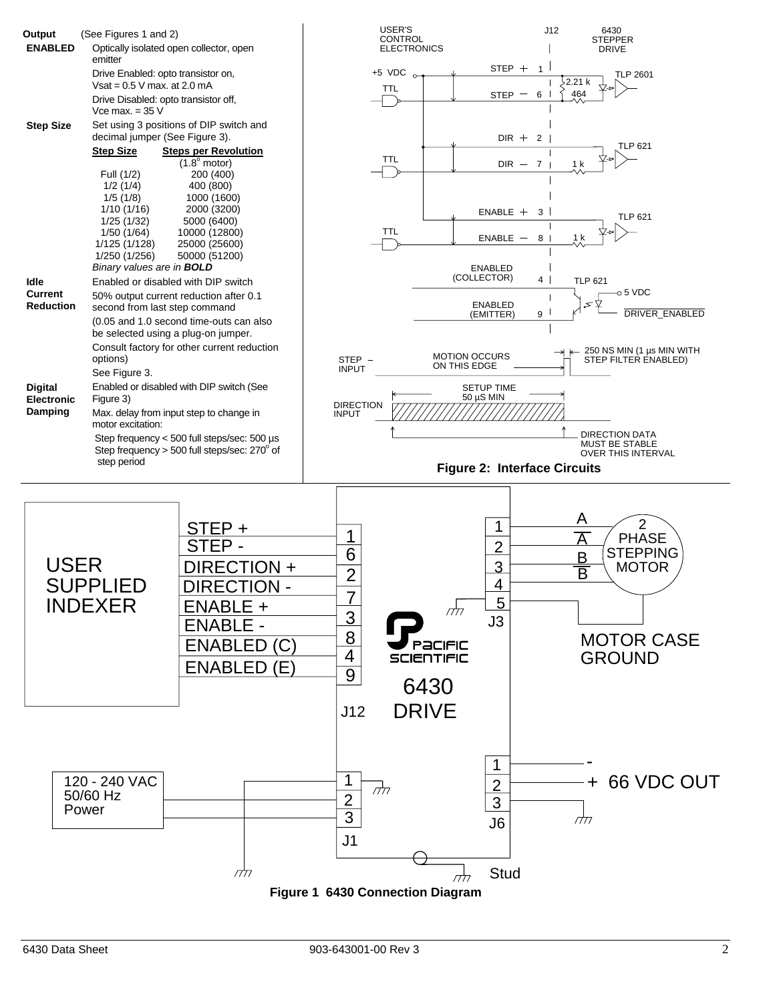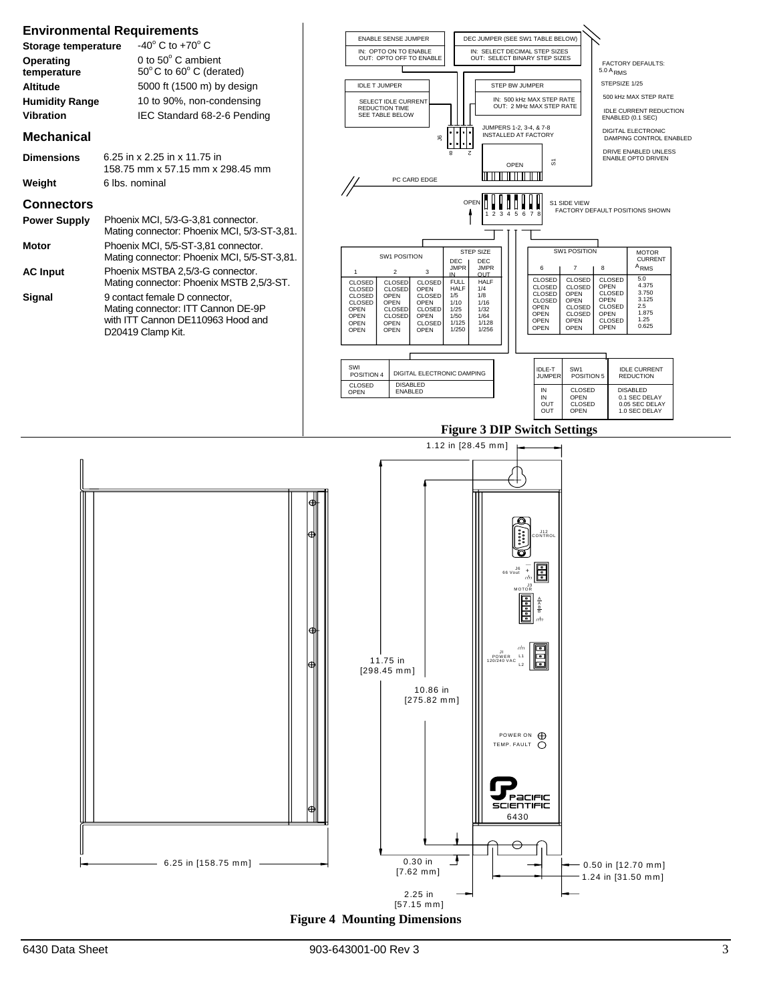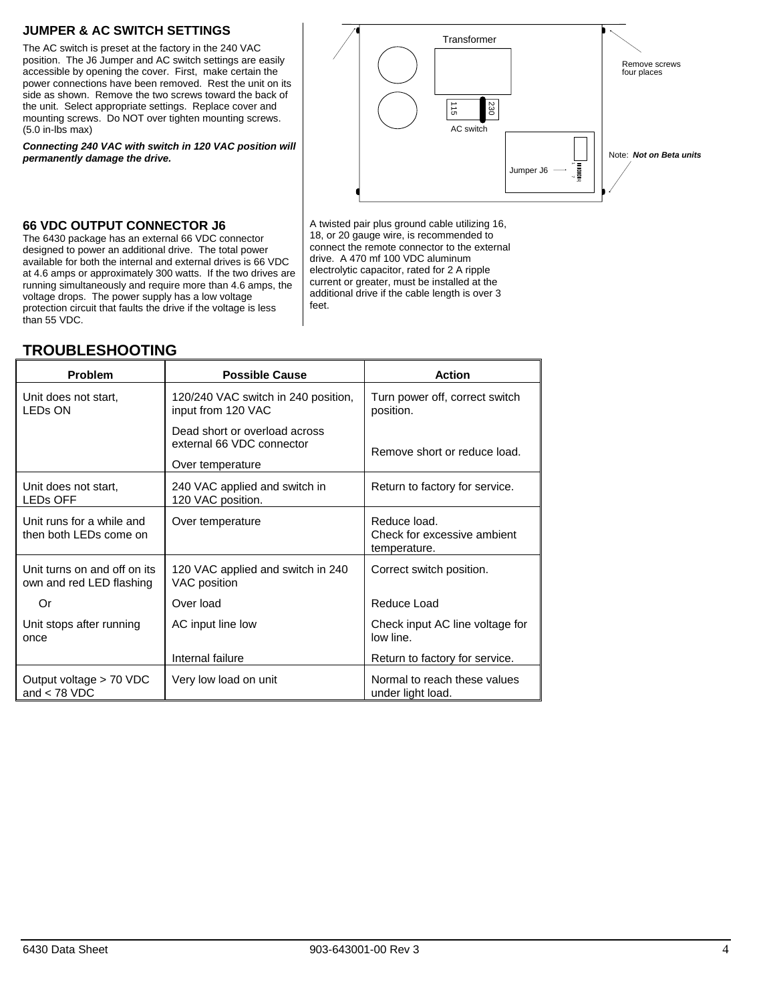## **JUMPER & AC SWITCH SETTINGS**

The AC switch is preset at the factory in the 240 VAC position. The J6 Jumper and AC switch settings are easily accessible by opening the cover. First, make certain the power connections have been removed. Rest the unit on its side as shown. Remove the two screws toward the back of the unit. Select appropriate settings. Replace cover and mounting screws. Do NOT over tighten mounting screws. (5.0 in-lbs max)

*Connecting 240 VAC with switch in 120 VAC position will permanently damage the drive.* 



#### **66 VDC OUTPUT CONNECTOR J6**

The 6430 package has an external 66 VDC connector designed to power an additional drive. The total power available for both the internal and external drives is 66 VDC at 4.6 amps or approximately 300 watts. If the two drives are running simultaneously and require more than 4.6 amps, the voltage drops. The power supply has a low voltage protection circuit that faults the drive if the voltage is less than 55 VDC.

#### 18, or 20 gauge wire, is recommended to connect the remote connector to the external drive. A 470 mf 100 VDC aluminum electrolytic capacitor, rated for 2 A ripple current or greater, must be installed at the additional drive if the cable length is over 3 feet.

A twisted pair plus ground cable utilizing 16,

| <b>Problem</b>                                           | <b>Possible Cause</b>                                      | Action                                                      |
|----------------------------------------------------------|------------------------------------------------------------|-------------------------------------------------------------|
| Unit does not start,<br><b>LED<sub>s</sub></b> ON        | 120/240 VAC switch in 240 position,<br>input from 120 VAC  | Turn power off, correct switch<br>position.                 |
|                                                          | Dead short or overload across<br>external 66 VDC connector | Remove short or reduce load.                                |
|                                                          | Over temperature                                           |                                                             |
| Unit does not start.<br><b>LED<sub>s</sub></b> OFF       | 240 VAC applied and switch in<br>120 VAC position.         | Return to factory for service.                              |
| Unit runs for a while and<br>then both LEDs come on      | Over temperature                                           | Reduce load.<br>Check for excessive ambient<br>temperature. |
| Unit turns on and off on its<br>own and red LED flashing | 120 VAC applied and switch in 240<br>VAC position          | Correct switch position.                                    |
| Or                                                       | Over load                                                  | Reduce Load                                                 |
| Unit stops after running<br>once                         | AC input line low                                          | Check input AC line voltage for<br>low line.                |
|                                                          | Internal failure                                           | Return to factory for service.                              |
| Output voltage > 70 VDC<br>and $<$ 78 VDC                | Very low load on unit                                      | Normal to reach these values<br>under light load.           |

## **TROUBLESHOOTING**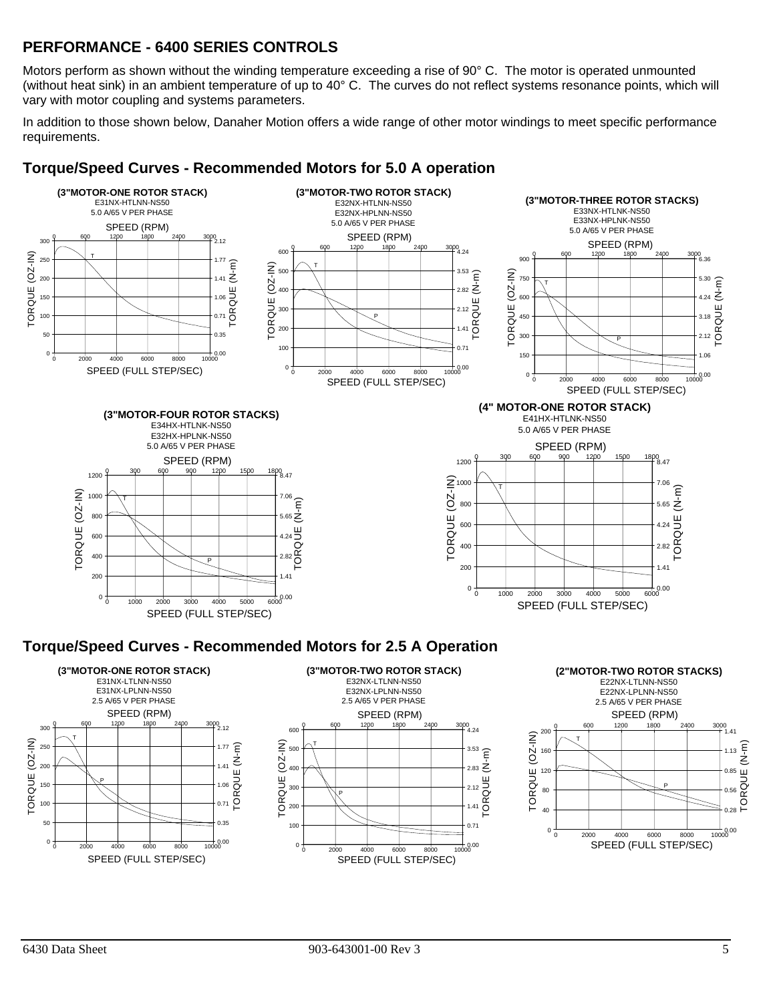# **PERFORMANCE - 6400 SERIES CONTROLS**

Motors perform as shown without the winding temperature exceeding a rise of 90° C. The motor is operated unmounted (without heat sink) in an ambient temperature of up to 40° C. The curves do not reflect systems resonance points, which will vary with motor coupling and systems parameters.

In addition to those shown below, Danaher Motion offers a wide range of other motor windings to meet specific performance requirements.



## **Torque/Speed Curves - Recommended Motors for 5.0 A operation**

## **Torque/Speed Curves - Recommended Motors for 2.5 A Operation**